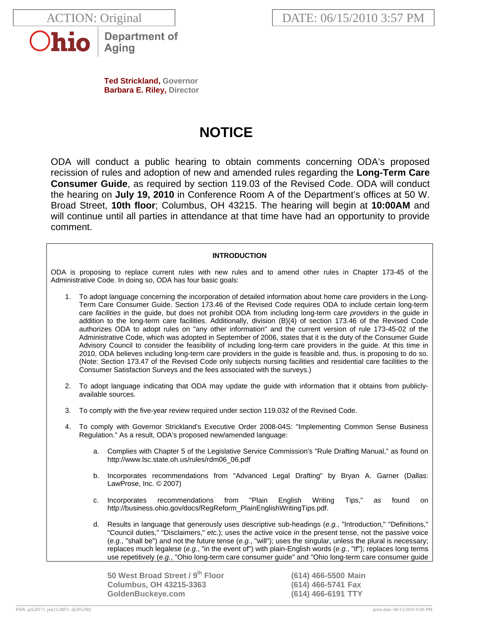



**Department of** Aging

**Ted Strickland, Governor Barbara E. Riley, Director** 

# **NOTICE**

ODA will conduct a public hearing to obtain comments concerning ODA's proposed recission of rules and adoption of new and amended rules regarding the **Long-Term Care Consumer Guide**, as required by section 119.03 of the Revised Code. ODA will conduct the hearing on **July 19, 2010** in Conference Room A of the Department's offices at 50 W. Broad Street, **10th floor**; Columbus, OH 43215. The hearing will begin at **10:00AM** and will continue until all parties in attendance at that time have had an opportunity to provide comment.

## **INTRODUCTION**

ODA is proposing to replace current rules with new rules and to amend other rules in Chapter 173-45 of the Administrative Code. In doing so, ODA has four basic goals:

- 1. To adopt language concerning the incorporation of detailed information about home care providers in the Long-Term Care Consumer Guide. Section 173.46 of the Revised Code requires ODA to include certain long-term care *facilities* in the guide, but does not prohibit ODA from including long-term care *providers* in the guide in addition to the long-term care facilities. Additionally, division (B)(4) of section 173.46 of the Revised Code authorizes ODA to adopt rules on "any other information" and the current version of rule 173-45-02 of the Administrative Code, which was adopted in September of 2006, states that it is the duty of the Consumer Guide Advisory Council to consider the feasibility of including long-term care providers in the guide. At this time in 2010, ODA believes including long-term care providers in the guide is feasible and, thus, is proposing to do so. (Note: Section 173.47 of the Revised Code only subjects nursing facilities and residential care facilities to the Consumer Satisfaction Surveys and the fees associated with the surveys.)
- 2. To adopt language indicating that ODA may update the guide with information that it obtains from publiclyavailable sources.
- 3. To comply with the five-year review required under section 119.032 of the Revised Code.
- 4. To comply with Governor Strickland's Executive Order 2008-04S: "Implementing Common Sense Business Regulation." As a result, ODA's proposed new/amended language:
	- a. Complies with Chapter 5 of the Legislative Service Commission's "Rule Drafting Manual," as found on http://www.lsc.state.oh.us/rules/rdm06\_06.pdf
	- b. Incorporates recommendations from "Advanced Legal Drafting" by Bryan A. Garner (Dallas: LawProse, Inc. © 2007)
	- c. Incorporates recommendations from "Plain English Writing Tips," as found on http://business.ohio.gov/docs/RegReform\_PlainEnglishWritingTips.pdf.
	- d. Results in language that generously uses descriptive sub-headings (*e.g.*, "Introduction," "Definitions," "Council duties," "Disclaimers," *etc.*); uses the active voice in the present tense, not the passive voice (*e.g.*, "shall be") and not the future tense (*e.g.*, "will"); uses the singular, unless the plural is necessary; replaces much legalese (*e.g.*, "in the event of") with plain-English words (*e.g.*, "If"); replaces long terms use repetitively (*e.g.*, "Ohio long-term care consumer guide" and "Ohio long-term care consumer guide

**50 West Broad Street / 9th Floor (614) 466-5500 Main Columbus, OH 43215-3363 (614) 466-5741 Fax GoldenBuckeye.com (614) 466-6191 TTY**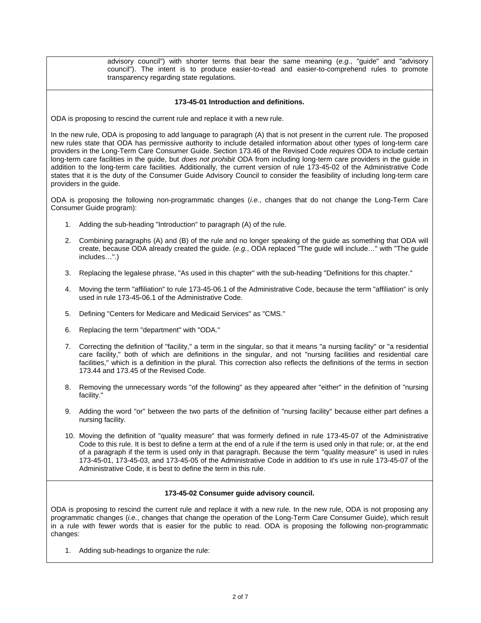advisory council") with shorter terms that bear the same meaning (*e.g.*, "guide" and "advisory council"). The intent is to produce easier-to-read and easier-to-comprehend rules to promote transparency regarding state regulations.

## **173-45-01 Introduction and definitions.**

ODA is proposing to rescind the current rule and replace it with a new rule.

In the new rule, ODA is proposing to add language to paragraph (A) that is not present in the current rule. The proposed new rules state that ODA has permissive authority to include detailed information about other types of long-term care providers in the Long-Term Care Consumer Guide. Section 173.46 of the Revised Code *requires* ODA to include certain long-term care facilities in the guide, but *does not prohibit* ODA from including long-term care providers in the guide in addition to the long-term care facilities. Additionally, the current version of rule 173-45-02 of the Administrative Code states that it is the duty of the Consumer Guide Advisory Council to consider the feasibility of including long-term care providers in the guide.

ODA is proposing the following non-programmatic changes (*i.e.*, changes that do not change the Long-Term Care Consumer Guide program):

- 1. Adding the sub-heading "Introduction" to paragraph (A) of the rule.
- 2. Combining paragraphs (A) and (B) of the rule and no longer speaking of the guide as something that ODA will create, because ODA already created the guide. (*e.g.*, ODA replaced "The guide will include…" with "The guide includes…".)
- 3. Replacing the legalese phrase, "As used in this chapter" with the sub-heading "Definitions for this chapter."
- 4. Moving the term "affiliation" to rule 173-45-06.1 of the Administrative Code, because the term "affiliation" is only used in rule 173-45-06.1 of the Administrative Code.
- 5. Defining "Centers for Medicare and Medicaid Services" as "CMS."
- 6. Replacing the term "department" with "ODA."
- 7. Correcting the definition of "facility," a term in the singular, so that it means "a nursing facility" or "a residential care facility," both of which are definitions in the singular, and not "nursing facilities and residential care facilities," which is a definition in the plural. This correction also reflects the definitions of the terms in section 173.44 and 173.45 of the Revised Code.
- 8. Removing the unnecessary words "of the following" as they appeared after "either" in the definition of "nursing facility."
- 9. Adding the word "or" between the two parts of the definition of "nursing facility" because either part defines a nursing facility.
- 10. Moving the definition of "quality measure" that was formerly defined in rule 173-45-07 of the Administrative Code to this rule. It is best to define a term at the end of a rule if the term is used only in that rule; or, at the end of a paragraph if the term is used only in that paragraph. Because the term "quality measure" is used in rules 173-45-01, 173-45-03, and 173-45-05 of the Administrative Code in addition to it's use in rule 173-45-07 of the Administrative Code, it is best to define the term in this rule.

#### **173-45-02 Consumer guide advisory council.**

ODA is proposing to rescind the current rule and replace it with a new rule. In the new rule, ODA is not proposing any programmatic changes (*i.e.*, changes that change the operation of the Long-Term Care Consumer Guide), which result in a rule with fewer words that is easier for the public to read. ODA is proposing the following non-programmatic changes:

1. Adding sub-headings to organize the rule: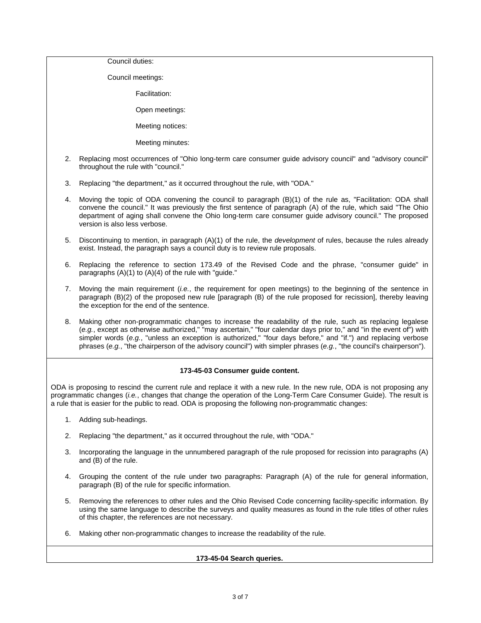Council duties:

Council meetings:

Facilitation:

Open meetings:

Meeting notices:

Meeting minutes:

- 2. Replacing most occurrences of "Ohio long-term care consumer guide advisory council" and "advisory council" throughout the rule with "council."
- 3. Replacing "the department," as it occurred throughout the rule, with "ODA."
- 4. Moving the topic of ODA convening the council to paragraph (B)(1) of the rule as, "Facilitation: ODA shall convene the council." It was previously the first sentence of paragraph (A) of the rule, which said "The Ohio department of aging shall convene the Ohio long-term care consumer guide advisory council." The proposed version is also less verbose.
- 5. Discontinuing to mention, in paragraph (A)(1) of the rule, the *development* of rules, because the rules already exist. Instead, the paragraph says a council duty is to review rule proposals.
- 6. Replacing the reference to section 173.49 of the Revised Code and the phrase, "consumer guide" in paragraphs (A)(1) to (A)(4) of the rule with "guide."
- 7. Moving the main requirement (*i.e.*, the requirement for open meetings) to the beginning of the sentence in paragraph (B)(2) of the proposed new rule [paragraph (B) of the rule proposed for recission], thereby leaving the exception for the end of the sentence.
- 8. Making other non-programmatic changes to increase the readability of the rule, such as replacing legalese (*e.g.*, except as otherwise authorized," "may ascertain," "four calendar days prior to," and "in the event of") with simpler words (*e.g.*, "unless an exception is authorized," "four days before," and "if.") and replacing verbose phrases (*e.g.*, "the chairperson of the advisory council") with simpler phrases (*e.g.*, "the council's chairperson").

## **173-45-03 Consumer guide content.**

ODA is proposing to rescind the current rule and replace it with a new rule. In the new rule, ODA is not proposing any programmatic changes (*i.e.*, changes that change the operation of the Long-Term Care Consumer Guide). The result is a rule that is easier for the public to read. ODA is proposing the following non-programmatic changes:

- 1. Adding sub-headings.
- 2. Replacing "the department," as it occurred throughout the rule, with "ODA."
- 3. Incorporating the language in the unnumbered paragraph of the rule proposed for recission into paragraphs (A) and (B) of the rule.
- 4. Grouping the content of the rule under two paragraphs: Paragraph (A) of the rule for general information, paragraph (B) of the rule for specific information.
- 5. Removing the references to other rules and the Ohio Revised Code concerning facility-specific information. By using the same language to describe the surveys and quality measures as found in the rule titles of other rules of this chapter, the references are not necessary.
- 6. Making other non-programmatic changes to increase the readability of the rule.

## **173-45-04 Search queries.**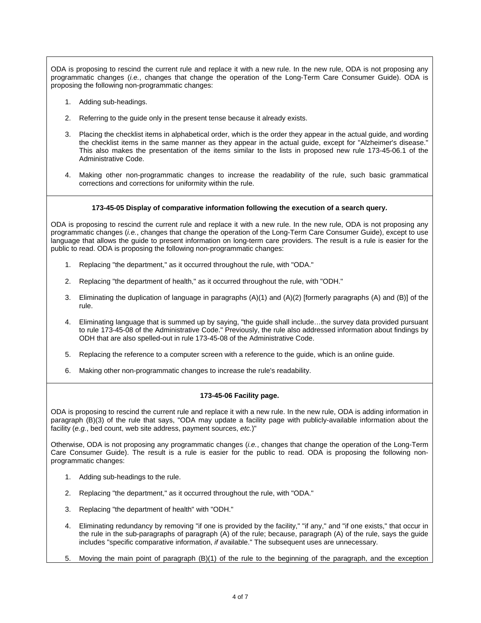ODA is proposing to rescind the current rule and replace it with a new rule. In the new rule, ODA is not proposing any programmatic changes (*i.e.*, changes that change the operation of the Long-Term Care Consumer Guide). ODA is proposing the following non-programmatic changes:

- 1. Adding sub-headings.
- 2. Referring to the guide only in the present tense because it already exists.
- 3. Placing the checklist items in alphabetical order, which is the order they appear in the actual guide, and wording the checklist items in the same manner as they appear in the actual guide, except for "Alzheimer's disease." This also makes the presentation of the items similar to the lists in proposed new rule 173-45-06.1 of the Administrative Code.
- 4. Making other non-programmatic changes to increase the readability of the rule, such basic grammatical corrections and corrections for uniformity within the rule.

#### **173-45-05 Display of comparative information following the execution of a search query.**

ODA is proposing to rescind the current rule and replace it with a new rule. In the new rule, ODA is not proposing any programmatic changes (*i.e.*, changes that change the operation of the Long-Term Care Consumer Guide), except to use language that allows the guide to present information on long-term care providers. The result is a rule is easier for the public to read. ODA is proposing the following non-programmatic changes:

- 1. Replacing "the department," as it occurred throughout the rule, with "ODA."
- 2. Replacing "the department of health," as it occurred throughout the rule, with "ODH."
- 3. Eliminating the duplication of language in paragraphs (A)(1) and (A)(2) [formerly paragraphs (A) and (B)] of the rule.
- 4. Eliminating language that is summed up by saying, "the guide shall include…the survey data provided pursuant to rule 173-45-08 of the Administrative Code." Previously, the rule also addressed information about findings by ODH that are also spelled-out in rule 173-45-08 of the Administrative Code.
- 5. Replacing the reference to a computer screen with a reference to the guide, which is an online guide.
- 6. Making other non-programmatic changes to increase the rule's readability.

#### **173-45-06 Facility page.**

ODA is proposing to rescind the current rule and replace it with a new rule. In the new rule, ODA is adding information in paragraph (B)(3) of the rule that says, "ODA may update a facility page with publicly-available information about the facility (*e.g.*, bed count, web site address, payment sources, *etc.*)"

Otherwise, ODA is not proposing any programmatic changes (*i.e.*, changes that change the operation of the Long-Term Care Consumer Guide). The result is a rule is easier for the public to read. ODA is proposing the following nonprogrammatic changes:

- 1. Adding sub-headings to the rule.
- 2. Replacing "the department," as it occurred throughout the rule, with "ODA."
- 3. Replacing "the department of health" with "ODH."
- 4. Eliminating redundancy by removing "if one is provided by the facility," "if any," and "if one exists," that occur in the rule in the sub-paragraphs of paragraph (A) of the rule; because, paragraph (A) of the rule, says the guide includes "specific comparative information, *if* available." The subsequent uses are unnecessary.
- 5. Moving the main point of paragraph (B)(1) of the rule to the beginning of the paragraph, and the exception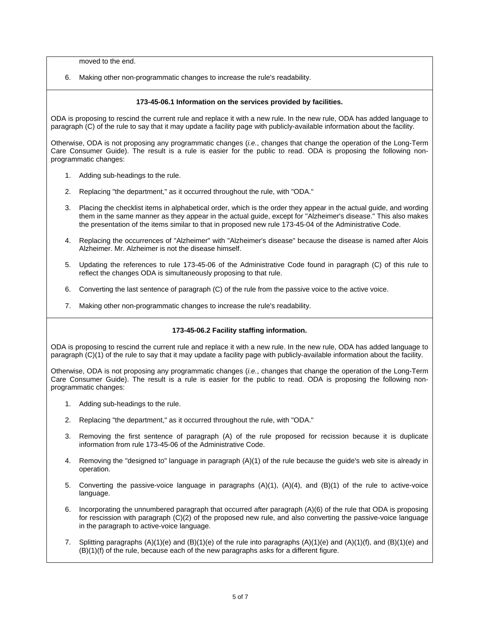moved to the end.

6. Making other non-programmatic changes to increase the rule's readability.

## **173-45-06.1 Information on the services provided by facilities.**

ODA is proposing to rescind the current rule and replace it with a new rule. In the new rule, ODA has added language to paragraph (C) of the rule to say that it may update a facility page with publicly-available information about the facility.

Otherwise, ODA is not proposing any programmatic changes (*i.e.*, changes that change the operation of the Long-Term Care Consumer Guide). The result is a rule is easier for the public to read. ODA is proposing the following nonprogrammatic changes:

- 1. Adding sub-headings to the rule.
- 2. Replacing "the department," as it occurred throughout the rule, with "ODA."
- 3. Placing the checklist items in alphabetical order, which is the order they appear in the actual guide, and wording them in the same manner as they appear in the actual guide, except for "Alzheimer's disease." This also makes the presentation of the items similar to that in proposed new rule 173-45-04 of the Administrative Code.
- 4. Replacing the occurrences of "Alzheimer" with "Alzheimer's disease" because the disease is named after Alois Alzheimer. Mr. Alzheimer is not the disease himself.
- 5. Updating the references to rule 173-45-06 of the Administrative Code found in paragraph (C) of this rule to reflect the changes ODA is simultaneously proposing to that rule.
- 6. Converting the last sentence of paragraph (C) of the rule from the passive voice to the active voice.
- 7. Making other non-programmatic changes to increase the rule's readability.

#### **173-45-06.2 Facility staffing information.**

ODA is proposing to rescind the current rule and replace it with a new rule. In the new rule, ODA has added language to paragraph (C)(1) of the rule to say that it may update a facility page with publicly-available information about the facility.

Otherwise, ODA is not proposing any programmatic changes (*i.e.*, changes that change the operation of the Long-Term Care Consumer Guide). The result is a rule is easier for the public to read. ODA is proposing the following nonprogrammatic changes:

- 1. Adding sub-headings to the rule.
- 2. Replacing "the department," as it occurred throughout the rule, with "ODA."
- 3. Removing the first sentence of paragraph (A) of the rule proposed for recission because it is duplicate information from rule 173-45-06 of the Administrative Code.
- 4. Removing the "designed to" language in paragraph (A)(1) of the rule because the guide's web site is already in operation.
- 5. Converting the passive-voice language in paragraphs (A)(1), (A)(4), and (B)(1) of the rule to active-voice language.
- 6. Incorporating the unnumbered paragraph that occurred after paragraph (A)(6) of the rule that ODA is proposing for rescission with paragraph (C)(2) of the proposed new rule, and also converting the passive-voice language in the paragraph to active-voice language.
- 7. Splitting paragraphs  $(A)(1)(e)$  and  $(B)(1)(e)$  of the rule into paragraphs  $(A)(1)(e)$  and  $(A)(1)(f)$ , and  $(B)(1)(e)$  and (B)(1)(f) of the rule, because each of the new paragraphs asks for a different figure.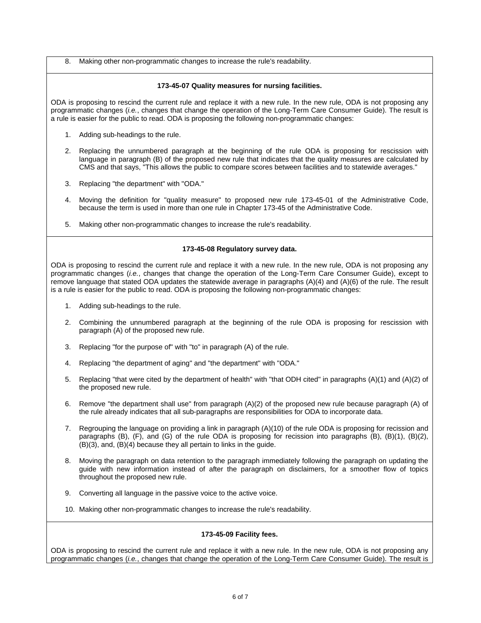8. Making other non-programmatic changes to increase the rule's readability.

## **173-45-07 Quality measures for nursing facilities.**

ODA is proposing to rescind the current rule and replace it with a new rule. In the new rule, ODA is not proposing any programmatic changes (*i.e.*, changes that change the operation of the Long-Term Care Consumer Guide). The result is a rule is easier for the public to read. ODA is proposing the following non-programmatic changes:

- 1. Adding sub-headings to the rule.
- 2. Replacing the unnumbered paragraph at the beginning of the rule ODA is proposing for rescission with language in paragraph (B) of the proposed new rule that indicates that the quality measures are calculated by CMS and that says, "This allows the public to compare scores between facilities and to statewide averages."
- 3. Replacing "the department" with "ODA."
- 4. Moving the definition for "quality measure" to proposed new rule 173-45-01 of the Administrative Code, because the term is used in more than one rule in Chapter 173-45 of the Administrative Code.
- 5. Making other non-programmatic changes to increase the rule's readability.

## **173-45-08 Regulatory survey data.**

ODA is proposing to rescind the current rule and replace it with a new rule. In the new rule, ODA is not proposing any programmatic changes (*i.e.*, changes that change the operation of the Long-Term Care Consumer Guide), except to remove language that stated ODA updates the statewide average in paragraphs (A)(4) and (A)(6) of the rule. The result is a rule is easier for the public to read. ODA is proposing the following non-programmatic changes:

- 1. Adding sub-headings to the rule.
- 2. Combining the unnumbered paragraph at the beginning of the rule ODA is proposing for rescission with paragraph (A) of the proposed new rule.
- 3. Replacing "for the purpose of" with "to" in paragraph (A) of the rule.
- 4. Replacing "the department of aging" and "the department" with "ODA."
- 5. Replacing "that were cited by the department of health" with "that ODH cited" in paragraphs (A)(1) and (A)(2) of the proposed new rule.
- 6. Remove "the department shall use" from paragraph (A)(2) of the proposed new rule because paragraph (A) of the rule already indicates that all sub-paragraphs are responsibilities for ODA to incorporate data.
- 7. Regrouping the language on providing a link in paragraph (A)(10) of the rule ODA is proposing for recission and paragraphs (B), (F), and (G) of the rule ODA is proposing for recission into paragraphs (B), (B)(1), (B)(2), (B)(3), and, (B)(4) because they all pertain to links in the guide.
- 8. Moving the paragraph on data retention to the paragraph immediately following the paragraph on updating the guide with new information instead of after the paragraph on disclaimers, for a smoother flow of topics throughout the proposed new rule.
- 9. Converting all language in the passive voice to the active voice.
- 10. Making other non-programmatic changes to increase the rule's readability.

#### **173-45-09 Facility fees.**

ODA is proposing to rescind the current rule and replace it with a new rule. In the new rule, ODA is not proposing any programmatic changes (*i.e.*, changes that change the operation of the Long-Term Care Consumer Guide). The result is